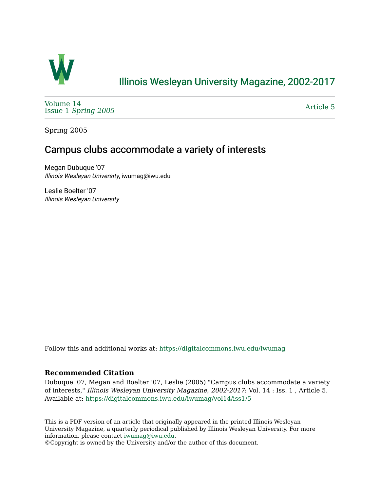

# [Illinois Wesleyan University Magazine, 2002-2017](https://digitalcommons.iwu.edu/iwumag)

[Volume 14](https://digitalcommons.iwu.edu/iwumag/vol14)  Issue 1 [Spring 2005](https://digitalcommons.iwu.edu/iwumag/vol14/iss1)

[Article 5](https://digitalcommons.iwu.edu/iwumag/vol14/iss1/5) 

Spring 2005

## Campus clubs accommodate a variety of interests

Megan Dubuque '07 Illinois Wesleyan University, iwumag@iwu.edu

Leslie Boelter '07 Illinois Wesleyan University

Follow this and additional works at: [https://digitalcommons.iwu.edu/iwumag](https://digitalcommons.iwu.edu/iwumag?utm_source=digitalcommons.iwu.edu%2Fiwumag%2Fvol14%2Fiss1%2F5&utm_medium=PDF&utm_campaign=PDFCoverPages) 

### **Recommended Citation**

Dubuque '07, Megan and Boelter '07, Leslie (2005) "Campus clubs accommodate a variety of interests," Illinois Wesleyan University Magazine, 2002-2017: Vol. 14 : Iss. 1 , Article 5. Available at: [https://digitalcommons.iwu.edu/iwumag/vol14/iss1/5](https://digitalcommons.iwu.edu/iwumag/vol14/iss1/5?utm_source=digitalcommons.iwu.edu%2Fiwumag%2Fvol14%2Fiss1%2F5&utm_medium=PDF&utm_campaign=PDFCoverPages)

This is a PDF version of an article that originally appeared in the printed Illinois Wesleyan University Magazine, a quarterly periodical published by Illinois Wesleyan University. For more information, please contact [iwumag@iwu.edu](mailto:iwumag@iwu.edu).

©Copyright is owned by the University and/or the author of this document.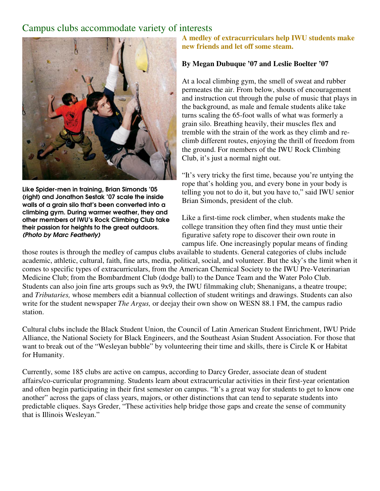### Campus clubs accommodate variety of interests



Like Spider-men in training, Brian Simonds '05 (right) and Jonathon Sestak '07 scale the inside walls of a grain silo that's been converted into a climbing gym. During warmer weather, they and other members of IWU's Rock Climbing Club take their passion for heights to the great outdoors. (Photo by Marc Featherly)

**A medley of extracurriculars help IWU students make new friends and let off some steam.** 

#### **By Megan Dubuque '07 and Leslie Boelter '07**

At a local climbing gym, the smell of sweat and rubber permeates the air. From below, shouts of encouragement and instruction cut through the pulse of music that plays in the background, as male and female students alike take turns scaling the 65-foot walls of what was formerly a grain silo. Breathing heavily, their muscles flex and tremble with the strain of the work as they climb and reclimb different routes, enjoying the thrill of freedom from the ground. For members of the IWU Rock Climbing Club, it's just a normal night out.

"It's very tricky the first time, because you're untying the rope that's holding you, and every bone in your body is telling you not to do it, but you have to," said IWU senior Brian Simonds, president of the club.

Like a first-time rock climber, when students make the college transition they often find they must untie their figurative safety rope to discover their own route in campus life. One increasingly popular means of finding

those routes is through the medley of campus clubs available to students. General categories of clubs include academic, athletic, cultural, faith, fine arts, media, political, social, and volunteer. But the sky's the limit when it comes to specific types of extracurriculars, from the American Chemical Society to the IWU Pre-Veterinarian Medicine Club; from the Bombardment Club (dodge ball) to the Dance Team and the Water Polo Club. Students can also join fine arts groups such as 9x9, the IWU filmmaking club; Shenanigans, a theatre troupe; and *Tributaries,* whose members edit a biannual collection of student writings and drawings. Students can also write for the student newspaper *The Argus,* or deejay their own show on WESN 88.1 FM, the campus radio station.

Cultural clubs include the Black Student Union, the Council of Latin American Student Enrichment, IWU Pride Alliance, the National Society for Black Engineers, and the Southeast Asian Student Association. For those that want to break out of the "Wesleyan bubble" by volunteering their time and skills, there is Circle K or Habitat for Humanity.

Currently, some 185 clubs are active on campus, according to Darcy Greder, associate dean of student affairs/co-curricular programming. Students learn about extracurricular activities in their first-year orientation and often begin participating in their first semester on campus. "It's a great way for students to get to know one another" across the gaps of class years, majors, or other distinctions that can tend to separate students into predictable cliques. Says Greder, "These activities help bridge those gaps and create the sense of community that is Illinois Wesleyan."